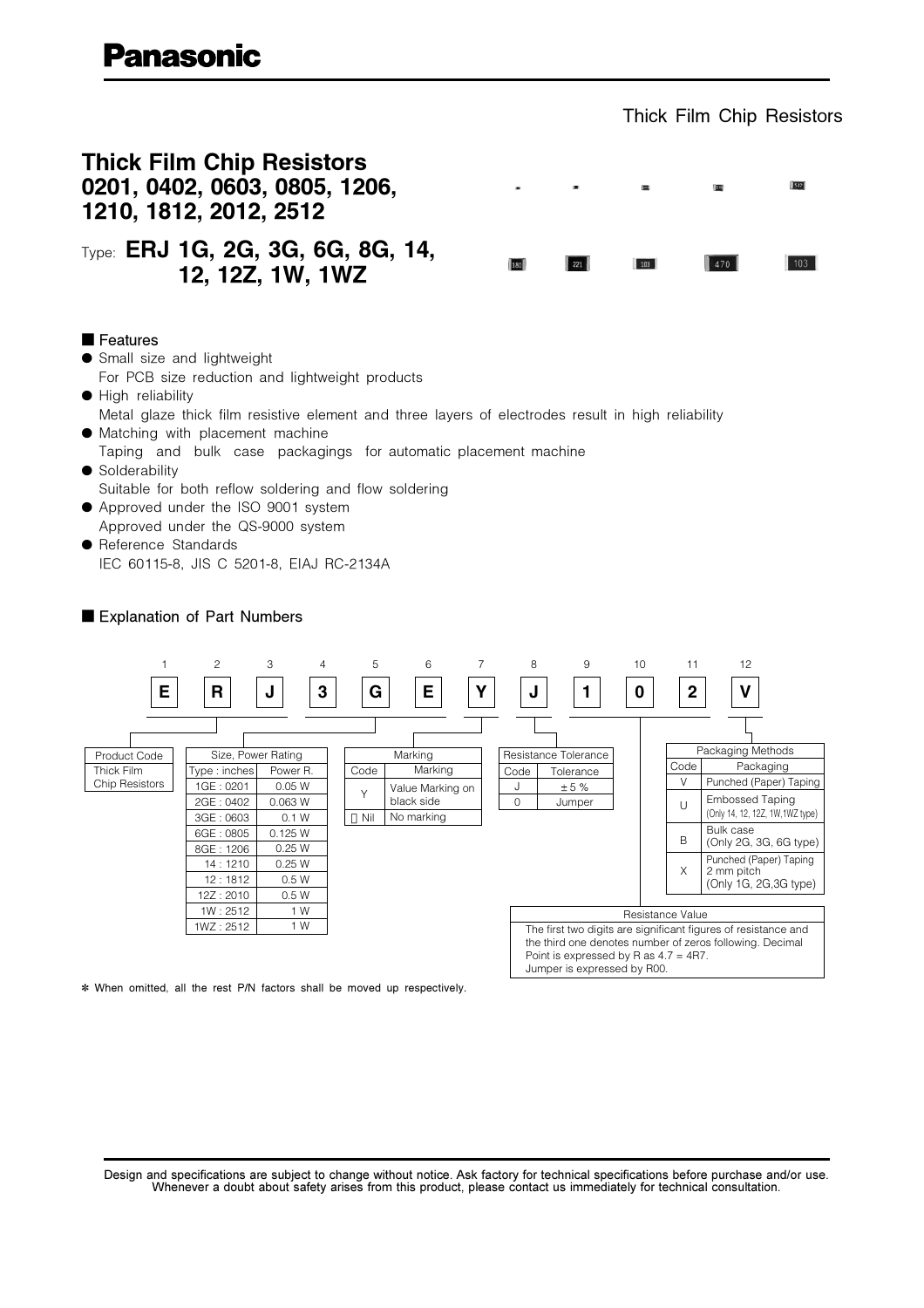### Thick Film Chip Resistors





Explanation of Part Numbers



\* When omitted, all the rest P/N factors shall be moved up respectively.

Design and specifications are subject to change without notice. Ask factory for technical specifications before purchase and/or use. Whenever a doubt about safety arises from this product, please contact us immediately for technical consultation.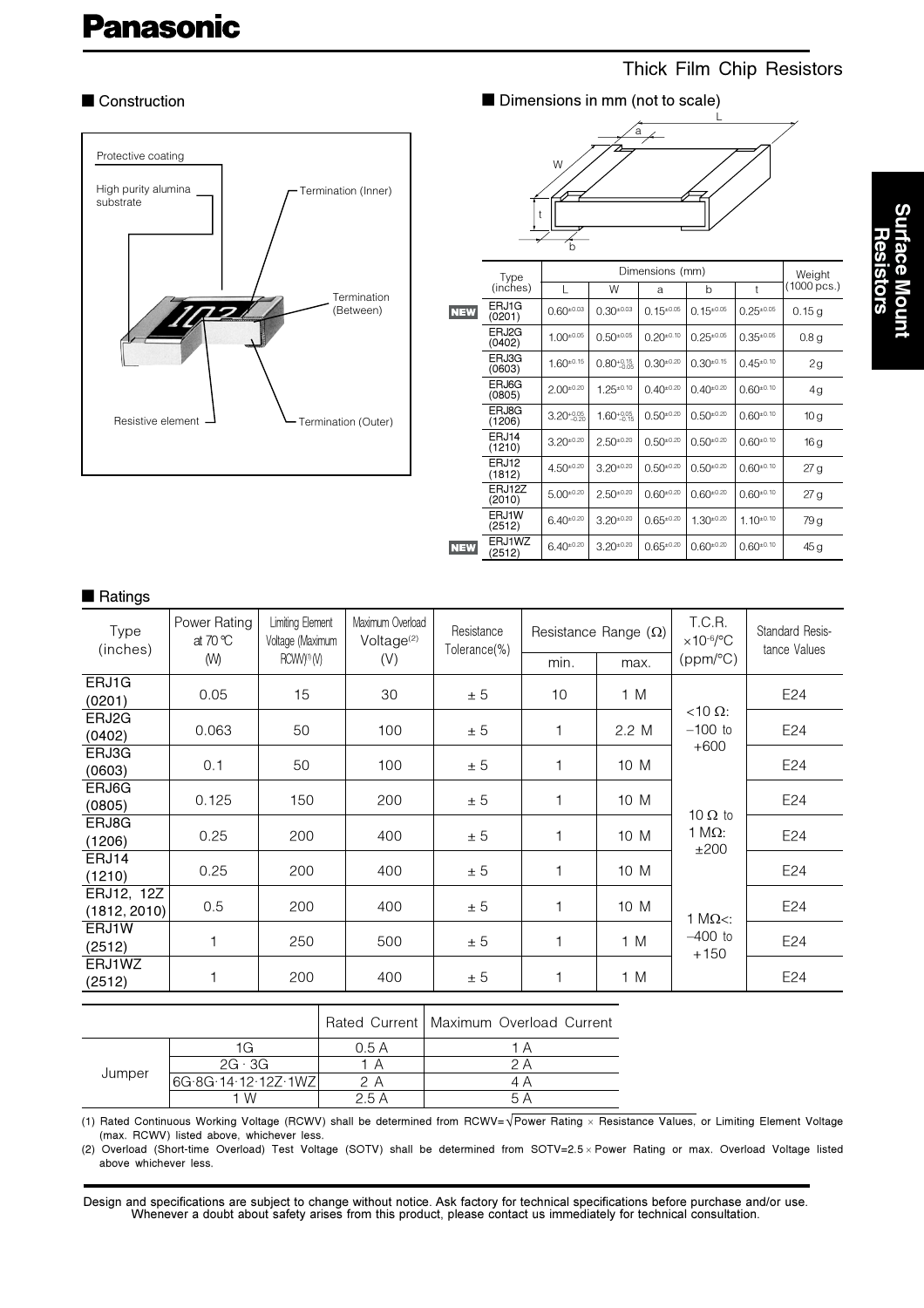# **Panasonic**

# Thick Film Chip Resistors

#### Construction



Dimensions in mm (not to scale)



|            | Type             | Dimensions (mm)        |                        |                  |                  |                  | Weight           |
|------------|------------------|------------------------|------------------------|------------------|------------------|------------------|------------------|
|            | (inches)         |                        | W                      | a                | b                | t                | (1000 pcs.)      |
| <b>NEW</b> | ERJ1G<br>(0201)  | $0.60^{+0.03}$         | $0.30^{\pm0.03}$       | $0.15^{\pm0.05}$ | $0.15^{\pm0.05}$ | $0.25^{\pm0.05}$ | 0.15 g           |
|            | ERJ2G<br>(0402)  | $1.00^{\pm0.05}$       | $0.50^{+0.05}$         | $0.20^{\pm0.10}$ | $0.25^{\pm0.05}$ | $0.35^{\pm0.05}$ | 0.8 <sub>g</sub> |
|            | ERJ3G<br>(0603)  | $1.60^{\pm0.15}$       | $0.80_{-0.05}^{+0.15}$ | $0.30^{\pm0.20}$ | $0.30^{+0.15}$   | $0.45^{\pm0.10}$ | 2g               |
|            | ERJ6G<br>(0805)  | $2.00^{\pm0.20}$       | $1.25 \pm 0.10$        | $0.40^{\pm0.20}$ | $0.40^{+0.20}$   | $0.60^{\pm0.10}$ | 4g               |
|            | ERJ8G<br>(1206)  | $3.20^{+0.05}_{-0.20}$ | $1.60^{+0.05}_{-0.15}$ | $0.50^{\pm0.20}$ | $0.50^{+0.20}$   | $0.60^{\pm0.10}$ | 10 <sub>g</sub>  |
|            | ERJ14<br>(1210)  | $3.20^{\pm0.20}$       | $2.50^{\pm0.20}$       | $0.50^{\pm0.20}$ | $0.50^{+0.20}$   | $0.60^{\pm0.10}$ | 16 g             |
|            | ERJ12<br>(1812)  | $4.50^{\pm0.20}$       | $3.20^{\pm0.20}$       | $0.50^{\pm0.20}$ | $0.50^{+0.20}$   | $0.60^{\pm0.10}$ | 27g              |
|            | ERJ12Z<br>(2010) | $5.00^{\pm0.20}$       | $2.50^{\pm0.20}$       | $0.60^{\pm0.20}$ | $0.60^{+0.20}$   | $0.60^{\pm0.10}$ | 27 g             |
|            | ERJ1W<br>(2512)  | $6.40^{\pm0.20}$       | $3.20^{\pm0.20}$       | $0.65^{\pm0.20}$ | $1.30^{\pm0.20}$ | $1.10^{+0.10}$   | 79 g             |
| <b>NEW</b> | ERJ1WZ<br>(2512) | $6.40^{\pm0.20}$       | $3.20^{\pm0.20}$       | $0.65^{\pm0.20}$ | $0.60^{+0.20}$   | $0.60^{\pm0.10}$ | 45 g             |

# Surface Mount<br>Resistors

| latınds |
|---------|
|         |

|                            | ι ιαιιιυν                         |                                             |                                            |                            |                             |       |                                |                                 |
|----------------------------|-----------------------------------|---------------------------------------------|--------------------------------------------|----------------------------|-----------------------------|-------|--------------------------------|---------------------------------|
| Type<br>(inches)           | Power Rating<br>at 70 $\degree$ C | <b>Limiting Element</b><br>Voltage (Maximum | Maximum Overload<br>Voltage <sup>(2)</sup> | Resistance<br>Tolerance(%) | Resistance Range $(\Omega)$ |       | T.C.R.<br>$\times$ 10-6/°C     | Standard Resis-<br>tance Values |
|                            | (W)                               | RCWV <sup>(1)</sup> (V)                     | (V)                                        |                            | min.                        | max.  | (ppm/°C)                       |                                 |
| ERJ1G<br>(0201)            | 0.05                              | 15                                          | 30                                         | ± 5                        | 10                          | 1 M   |                                | E24                             |
| ERJ2G<br>(0402)            | 0.063                             | 50                                          | 100                                        | ± 5                        | 1                           | 2.2 M | $<$ 10 $\Omega$ :<br>$-100$ to | E24                             |
| ERJ3G<br>(0603)            | 0.1                               | 50                                          | 100                                        | ± 5                        | $\mathbf{1}$                | 10 M  | $+600$                         | E24                             |
| ERJ6G<br>(0805)            | 0.125                             | 150                                         | 200                                        | ± 5                        | $\mathbf{1}$                | 10 M  | 10 $\Omega$ to                 | E24                             |
| ERJ8G<br>(1206)            | 0.25                              | 200                                         | 400                                        | ± 5                        | 1                           | 10 M  | 1 MΩ:<br>±200                  | E24                             |
| ERJ14<br>(1210)            | 0.25                              | 200                                         | 400                                        | ± 5                        | 1                           | 10 M  |                                | E24                             |
| ERJ12, 12Z<br>(1812, 2010) | 0.5                               | 200                                         | 400                                        | ± 5                        | 1                           | 10 M  | 1 M $\Omega$ <:                | E24                             |
| ERJ1W<br>(2512)            |                                   | 250                                         | 500                                        | ± 5                        | $\mathbf{1}$                | 1 M   | $-400$ to<br>$+150$            | E24                             |
| ERJ1WZ<br>(2512)           |                                   | 200                                         | 400                                        | ± 5                        | 1                           | 1 M   |                                | E24                             |
|                            |                                   |                                             |                                            |                            |                             |       |                                |                                 |

|  | Rated Current   Maximum Overload Current |  |
|--|------------------------------------------|--|
|  |                                          |  |

|        |                     | 0.5 A |  |
|--------|---------------------|-------|--|
|        | $2G \cdot 3G$       |       |  |
| Jumper | 6G.8G.14.12.12Z.1WZ |       |  |
|        | ' W                 |       |  |
|        |                     |       |  |

(1) Rated Continuous Working Voltage (RCWV) shall be determined from RCWV= $\sqrt{P}$ ower Rating x Resistance Values, or Limiting Element Voltage (max. RCWV) listed above, whichever less.

(2) Overload (Short-time Overload) Test Voltage (SOTV) shall be determined from SOTV=2.5 x Power Rating or max. Overload Voltage listed above whichever less.

Design and specifications are subject to change without notice. Ask factory for technical specifications before purchase and/or use. Whenever a doubt about safety arises from this product, please contact us immediately for technical consultation.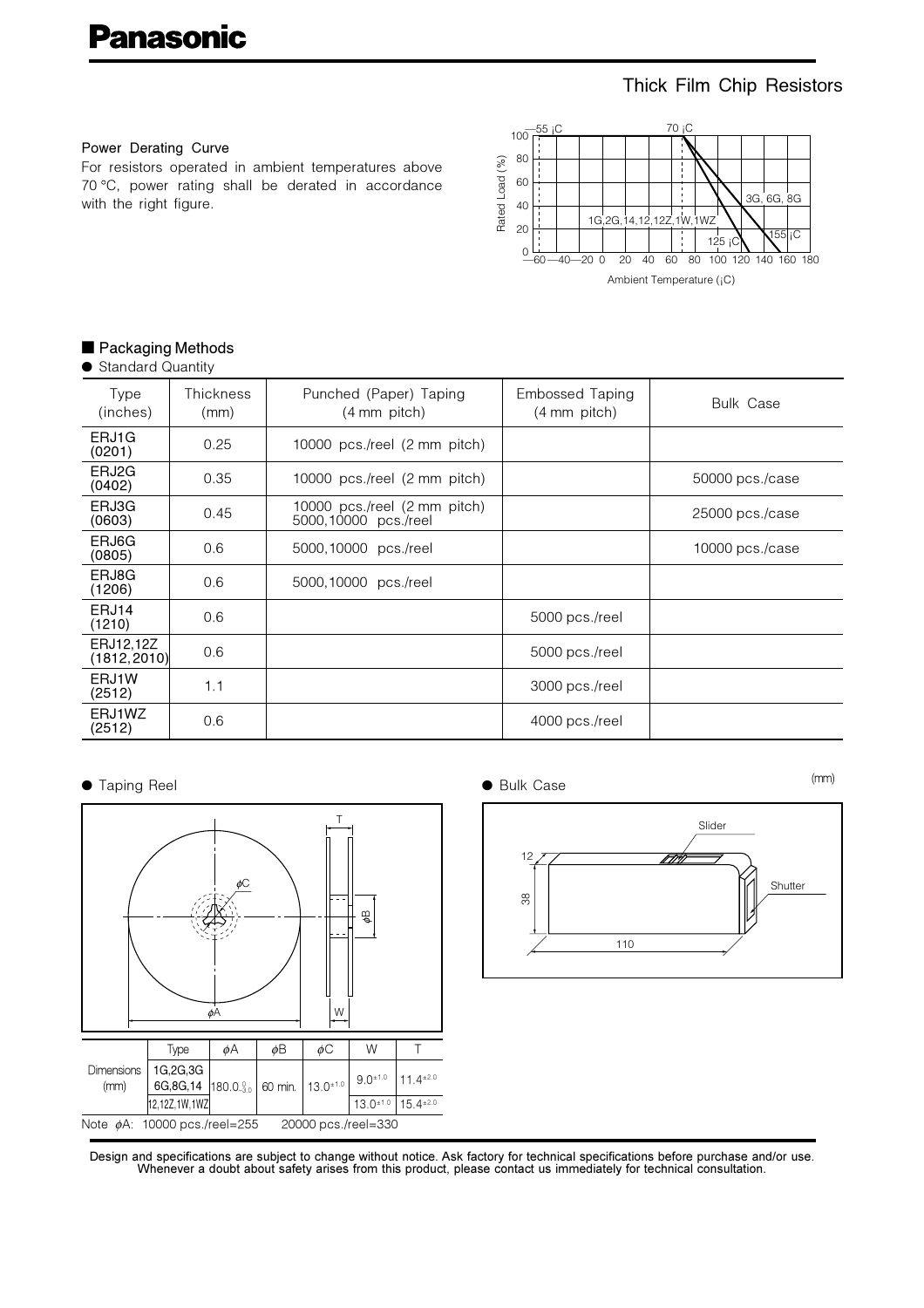# Thick Film Chip Resistors

#### Power Derating Curve

For resistors operated in ambient temperatures above 70 °C, power rating shall be derated in accordance with the right figure.



## Packaging Methods

|  | <b>Standard Quantity</b> |  |
|--|--------------------------|--|
|--|--------------------------|--|

| Type<br>(inches)          | Thickness<br>(mm) | Punched (Paper) Taping<br>$(4 \text{ mm pitch})$     | Embossed Taping<br>$(4 \text{ mm pitch})$ | <b>Bulk Case</b>  |
|---------------------------|-------------------|------------------------------------------------------|-------------------------------------------|-------------------|
| ERJ1G<br>(0201)           | 0.25              | 10000 pcs./reel (2 mm pitch)                         |                                           |                   |
| ERJ2G<br>(0402)           | 0.35              | 10000 pcs./reel (2 mm pitch)                         |                                           | 50000 pcs./case   |
| ERJ3G<br>(0603)           | 0.45              | 10000 pcs./reel (2 mm pitch)<br>5000,10000 pcs./reel |                                           | $25000$ pcs./case |
| ERJ6G<br>(0805)           | 0.6               | 5000,10000 pcs./reel                                 |                                           | 10000 pcs./case   |
| ERJ8G<br>(1206)           | 0.6               | 5000,10000 pcs./reel                                 |                                           |                   |
| ERJ14<br>(1210)           | 0.6               |                                                      | 5000 pcs./reel                            |                   |
| ERJ12,12Z<br>(1812, 2010) | 0.6               |                                                      | 5000 pcs./reel                            |                   |
| ERJ1W<br>(2512)           | 1.1               |                                                      | 3000 pcs./reel                            |                   |
| ERJ1WZ<br>(2512)          | 0.6               |                                                      | 4000 pcs./reel                            |                   |

#### **•** Taping Reel



**Bulk Case** 

 $(mm)$ 



Design and specifications are subject to change without notice. Ask factory for technical specifications before purchase and/or use. Whenever a doubt about safety arises from this product, please contact us immediately for technical consultation.